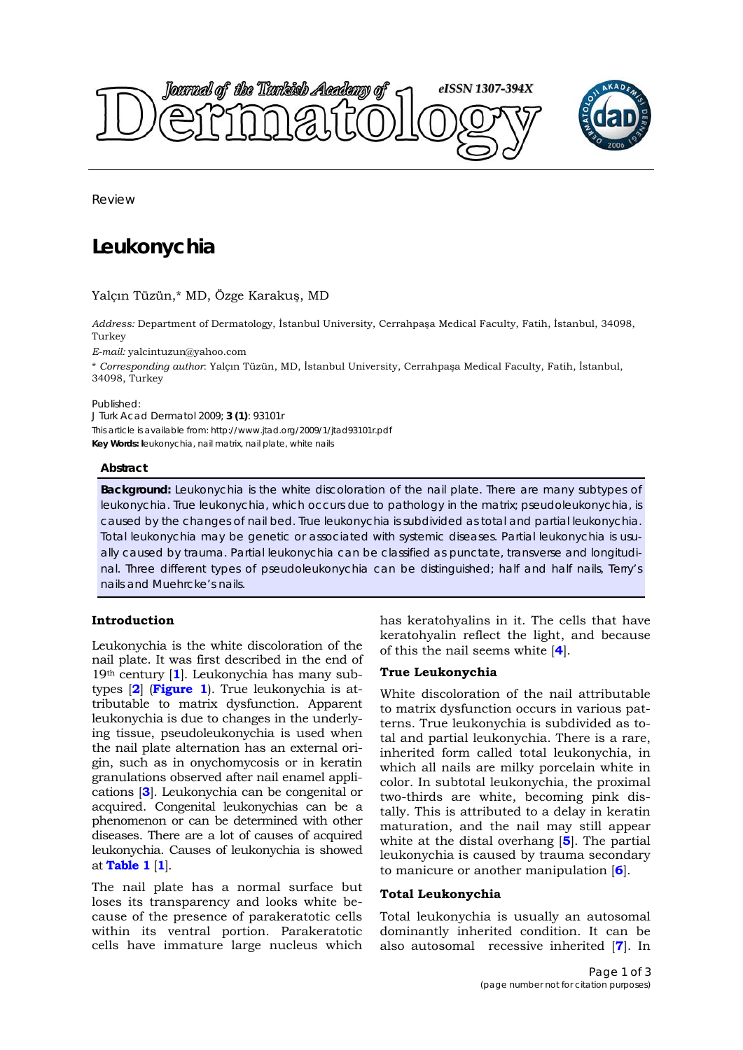



Review

# **Leukonychia**

Yalçın Tüzün,\* MD, Özge Karakuş, MD

*Address:* Department of Dermatology, İstanbul University, Cerrahpaşa Medical Faculty, Fatih, İstanbul, 34098, Turkey

*E-mail:* yalcintuzun@yahoo.com

\* *Corresponding author*: Yalçın Tüzün, MD, İstanbul University, Cerrahpaşa Medical Faculty, Fatih, İstanbul, 34098, Turkey

Published:

*J Turk Acad Dermatol* 2009; **3 (1)**: 93101r This article is available from: http://www.jtad.org/2009/1/jtad93101r.pdf **Key Words: l**eukonychia, nail matrix, nail plate, white nails

## **Abstract**

**Background:** Leukonychia is the white discoloration of the nail plate. There are many subtypes of leukonychia. True leukonychia, which occurs due to pathology in the matrix; pseudoleukonychia, is caused by the changes of nail bed. True leukonychia is subdivided as total and partial leukonychia. Total leukonychia may be genetic or associated with systemic diseases. Partial leukonychia is usually caused by trauma. Partial leukonychia can be classified as punctate, transverse and longitudinal. Three different types of pseudoleukonychia can be distinguished; half and half nails, *Terry*'s nails and *Muehrcke*'s nails.

# **Introduction**

Leukonychia is the white discoloration of the nail plate. It was first described in the end of 19th century [**1**]. Leukonychia has many subtypes [**2**] (**Figure 1**). True leukonychia is attributable to matrix dysfunction. Apparent leukonychia is due to changes in the underlying tissue, pseudoleukonychia is used when the nail plate alternation has an external origin, such as in onychomycosis or in keratin granulations observed after nail enamel applications [**3**]. Leukonychia can be congenital or acquired. Congenital leukonychias can be a phenomenon or can be determined with other diseases. There are a lot of causes of acquired leukonychia. Causes of leukonychia is showed at **Table 1** [**1**].

The nail plate has a normal surface but loses its transparency and looks white because of the presence of parakeratotic cells within its ventral portion. Parakeratotic cells have immature large nucleus which

has keratohyalins in it. The cells that have keratohyalin reflect the light, and because of this the nail seems white [**4**].

## **True Leukonychia**

White discoloration of the nail attributable to matrix dysfunction occurs in various patterns. True leukonychia is subdivided as total and partial leukonychia. There is a rare, inherited form called total leukonychia, in which all nails are milky porcelain white in color. In subtotal leukonychia, the proximal two-thirds are white, becoming pink distally. This is attributed to a delay in keratin maturation, and the nail may still appear white at the distal overhang [**5**]. The partial leukonychia is caused by trauma secondary to manicure or another manipulation [**6**].

## **Total Leukonychia**

Total leukonychia is usually an autosomal dominantly inherited condition. It can be also autosomal recessive inherited [**7**]. In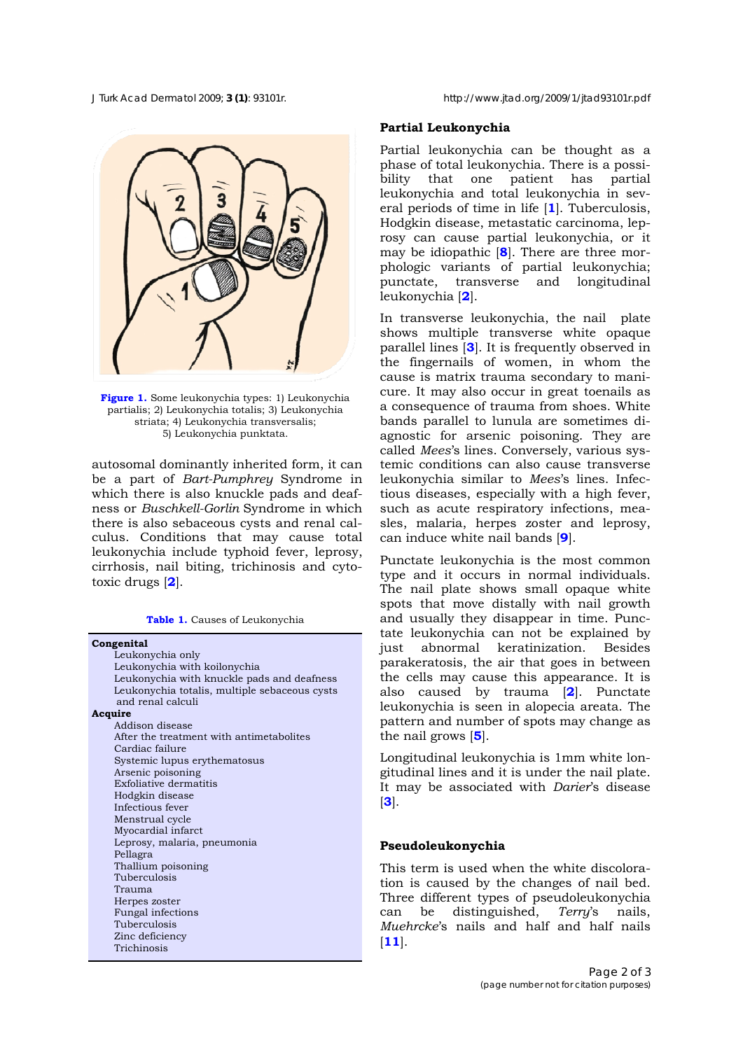**Figure 1.** Some leukonychia types: 1) Leukonychia partialis; 2) Leukonychia totalis; 3) Leukonychia striata; 4) Leukonychia transversalis; 5) Leukonychia punktata.

autosomal dominantly inherited form, it can be a part of *Bart-Pumphrey* Syndrome in which there is also knuckle pads and deafness or *Buschkell-Gorlin* Syndrome in which there is also sebaceous cysts and renal calculus. Conditions that may cause total leukonychia include typhoid fever, leprosy, cirrhosis, nail biting, trichinosis and cytotoxic drugs [**2**].

**Table 1.** Causes of Leukonychia

| Congenital                                    |
|-----------------------------------------------|
| Leukonychia only                              |
| Leukonychia with koilonychia                  |
| Leukonychia with knuckle pads and deafness    |
| Leukonychia totalis, multiple sebaceous cysts |
| and renal calculi                             |
| Acquire                                       |
| Addison disease                               |
| After the treatment with antimetabolites      |
| Cardiac failure                               |
| Systemic lupus erythematosus                  |
| Arsenic poisoning                             |
| <b>Exfoliative dermatitis</b>                 |
| Hodgkin disease                               |
| Infectious fever                              |
| Menstrual cycle                               |
| Myocardial infarct                            |
| Leprosy, malaria, pneumonia                   |
| Pellagra                                      |
| Thallium poisoning                            |
| Tuberculosis                                  |
| Trauma                                        |
| Herpes zoster                                 |
| Fungal infections                             |
| Tuberculosis                                  |
| Zinc deficiency                               |
| Trichinosis                                   |
|                                               |

#### *J Turk Acad Dermatol* 2009; **3 (1)**: 93101r. http://www.jtad.org/2009/1/jtad93101r.pdf

## **Partial Leukonychia**

Partial leukonychia can be thought as a phase of total leukonychia. There is a possibility that one patient has partial leukonychia and total leukonychia in several periods of time in life [**1**]. Tuberculosis, Hodgkin disease, metastatic carcinoma, leprosy can cause partial leukonychia, or it may be idiopathic [**8**]. There are three morphologic variants of partial leukonychia; punctate, transverse and longitudinal leukonychia [**2**].

In transverse leukonychia, the nail plate shows multiple transverse white opaque parallel lines [**3**]. It is frequently observed in the fingernails of women, in whom the cause is matrix trauma secondary to manicure. It may also occur in great toenails as a consequence of trauma from shoes. White bands parallel to lunula are sometimes diagnostic for arsenic poisoning. They are called *Mees*'s lines. Conversely, various systemic conditions can also cause transverse leukonychia similar to *Mees*'s lines. Infectious diseases, especially with a high fever, such as acute respiratory infections, measles, malaria, herpes zoster and leprosy, can induce white nail bands [**9**].

Punctate leukonychia is the most common type and it occurs in normal individuals. The nail plate shows small opaque white spots that move distally with nail growth and usually they disappear in time. Punctate leukonychia can not be explained by just abnormal keratinization. Besides parakeratosis, the air that goes in between the cells may cause this appearance. It is also caused by trauma [**2**]. Punctate leukonychia is seen in alopecia areata. The pattern and number of spots may change as the nail grows [**5**].

Longitudinal leukonychia is 1mm white longitudinal lines and it is under the nail plate. It may be associated with *Darier*'s disease [**3**].

#### **Pseudoleukonychia**

This term is used when the white discoloration is caused by the changes of nail bed. Three different types of pseudoleukonychia can be distinguished, *Terry*'s nails, *Muehrcke*'s nails and half and half nails [**11**].